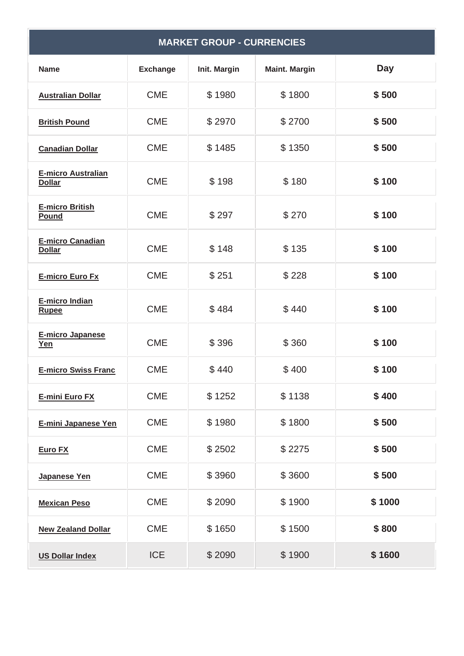| <b>MARKET GROUP - CURRENCIES</b>           |                 |              |                      |            |  |
|--------------------------------------------|-----------------|--------------|----------------------|------------|--|
| <b>Name</b>                                | <b>Exchange</b> | Init. Margin | <b>Maint. Margin</b> | <b>Day</b> |  |
| <b>Australian Dollar</b>                   | <b>CME</b>      | \$1980       | \$1800               | \$500      |  |
| <b>British Pound</b>                       | <b>CME</b>      | \$2970       | \$2700               | \$500      |  |
| <b>Canadian Dollar</b>                     | <b>CME</b>      | \$1485       | \$1350               | \$500      |  |
| <b>E-micro Australian</b><br><b>Dollar</b> | <b>CME</b>      | \$198        | \$180                | \$100      |  |
| <b>E-micro British</b><br>Pound            | <b>CME</b>      | \$297        | \$270                | \$100      |  |
| <b>E-micro Canadian</b><br><b>Dollar</b>   | <b>CME</b>      | \$148        | \$135                | \$100      |  |
| <b>E-micro Euro Fx</b>                     | <b>CME</b>      | \$251        | \$228                | \$100      |  |
| E-micro Indian<br><b>Rupee</b>             | <b>CME</b>      | \$484        | \$440                | \$100      |  |
| <b>E-micro Japanese</b><br>Yen             | <b>CME</b>      | \$396        | \$360                | \$100      |  |
| <b>E-micro Swiss Franc</b>                 | <b>CME</b>      | \$440        | \$400                | \$100      |  |
| E-mini Euro FX                             | <b>CME</b>      | \$1252       | \$1138               | \$400      |  |
| <b>E-mini Japanese Yen</b>                 | <b>CME</b>      | \$1980       | \$1800               | \$500      |  |
| <b>Euro FX</b>                             | <b>CME</b>      | \$2502       | \$2275               | \$500      |  |
| Japanese Yen                               | <b>CME</b>      | \$3960       | \$3600               | \$500      |  |
| <b>Mexican Peso</b>                        | <b>CME</b>      | \$2090       | \$1900               | \$1000     |  |
| <b>New Zealand Dollar</b>                  | <b>CME</b>      | \$1650       | \$1500               | \$800      |  |
| <b>US Dollar Index</b>                     | <b>ICE</b>      | \$2090       | \$1900               | \$1600     |  |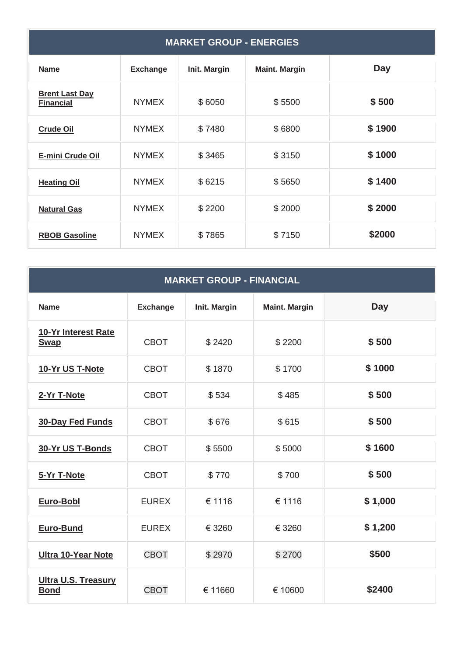| <b>MARKET GROUP - ENERGIES</b>            |                 |              |                      |        |  |
|-------------------------------------------|-----------------|--------------|----------------------|--------|--|
| <b>Name</b>                               | <b>Exchange</b> | Init. Margin | <b>Maint. Margin</b> | Day    |  |
| <b>Brent Last Day</b><br><b>Financial</b> | <b>NYMEX</b>    | \$6050       | \$5500               | \$500  |  |
| <b>Crude Oil</b>                          | <b>NYMEX</b>    | \$7480       | \$6800               | \$1900 |  |
| E-mini Crude Oil                          | <b>NYMEX</b>    | \$3465       | \$3150               | \$1000 |  |
| <b>Heating Oil</b>                        | <b>NYMEX</b>    | \$6215       | \$5650               | \$1400 |  |
| <b>Natural Gas</b>                        | <b>NYMEX</b>    | \$2200       | \$2000               | \$2000 |  |
| <b>RBOB Gasoline</b>                      | <b>NYMEX</b>    | \$7865       | \$7150               | \$2000 |  |

## **MARKET GROUP - FINANCIAL**

| <b>Name</b>                               | <b>Exchange</b> | Init. Margin | <b>Maint. Margin</b> | <b>Day</b> |
|-------------------------------------------|-----------------|--------------|----------------------|------------|
| 10-Yr Interest Rate<br><b>Swap</b>        | <b>CBOT</b>     | \$2420       | \$2200               | \$500      |
| 10-Yr US T-Note                           | <b>CBOT</b>     | \$1870       | \$1700               | \$1000     |
| 2-Yr T-Note                               | <b>CBOT</b>     | \$534        | \$485                | \$500      |
| <b>30-Day Fed Funds</b>                   | <b>CBOT</b>     | \$676        | \$615                | \$500      |
| 30-Yr US T-Bonds                          | <b>CBOT</b>     | \$5500       | \$5000               | \$1600     |
| 5-Yr T-Note                               | <b>CBOT</b>     | \$770        | \$700                | \$500      |
| <b>Euro-Bobl</b>                          | <b>EUREX</b>    | € 1116       | € 1116               | \$1,000    |
| Euro-Bund                                 | <b>EUREX</b>    | € 3260       | € 3260               | \$1,200    |
| <b>Ultra 10-Year Note</b>                 | <b>CBOT</b>     | \$2970       | \$2700               | \$500      |
| <b>Ultra U.S. Treasury</b><br><b>Bond</b> | <b>CBOT</b>     | € 11660      | € 10600              | \$2400     |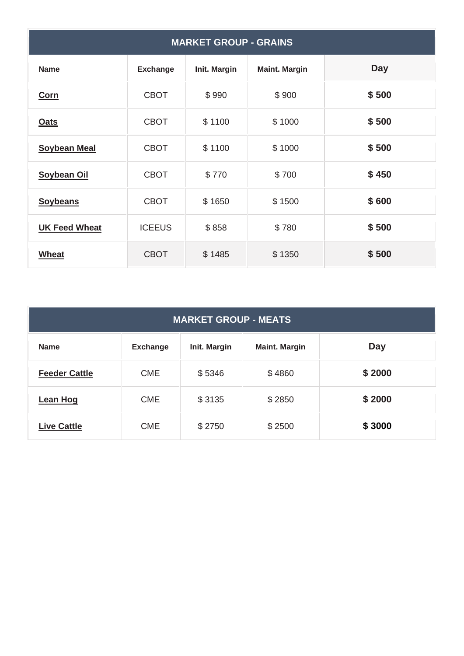| <b>MARKET GROUP - GRAINS</b> |                 |              |                      |            |  |
|------------------------------|-----------------|--------------|----------------------|------------|--|
| <b>Name</b>                  | <b>Exchange</b> | Init. Margin | <b>Maint. Margin</b> | <b>Day</b> |  |
| <b>Corn</b>                  | <b>CBOT</b>     | \$990        | \$900                | \$500      |  |
| <b>Oats</b>                  | <b>CBOT</b>     | \$1100       | \$1000               | \$500      |  |
| <b>Soybean Meal</b>          | <b>CBOT</b>     | \$1100       | \$1000               | \$500      |  |
| <b>Soybean Oil</b>           | <b>CBOT</b>     | \$770        | \$700                | \$450      |  |
| <b>Soybeans</b>              | <b>CBOT</b>     | \$1650       | \$1500               | \$600      |  |
| <b>UK Feed Wheat</b>         | <b>ICEEUS</b>   | \$858        | \$780                | \$500      |  |
| Wheat                        | <b>CBOT</b>     | \$1485       | \$1350               | \$500      |  |

| <b>MARKET GROUP - MEATS</b> |                 |              |                      |            |  |
|-----------------------------|-----------------|--------------|----------------------|------------|--|
| <b>Name</b>                 | <b>Exchange</b> | Init. Margin | <b>Maint. Margin</b> | <b>Day</b> |  |
| <b>Feeder Cattle</b>        | <b>CME</b>      | \$5346       | \$4860               | \$2000     |  |
| <b>Lean Hog</b>             | <b>CME</b>      | \$3135       | \$2850               | \$2000     |  |
| <b>Live Cattle</b>          | <b>CME</b>      | \$2750       | \$2500               | \$3000     |  |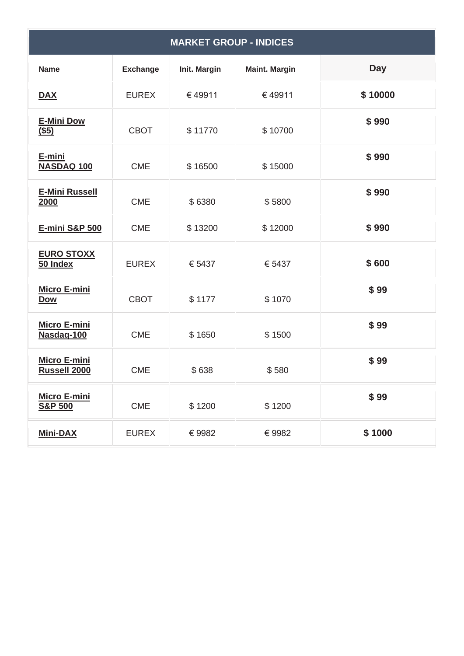| <b>MARKET GROUP - INDICES</b>             |                 |              |                      |            |  |
|-------------------------------------------|-----------------|--------------|----------------------|------------|--|
| <b>Name</b>                               | <b>Exchange</b> | Init. Margin | <b>Maint. Margin</b> | <b>Day</b> |  |
| <b>DAX</b>                                | <b>EUREX</b>    | €49911       | €49911               | \$10000    |  |
| <b>E-Mini Dow</b><br>$($ \$5)             | <b>CBOT</b>     | \$11770      | \$10700              | \$990      |  |
| E-mini<br>NASDAQ 100                      | <b>CME</b>      | \$16500      | \$15000              | \$990      |  |
| <b>E-Mini Russell</b><br>2000             | <b>CME</b>      | \$6380       | \$5800               | \$990      |  |
| E-mini S&P 500                            | <b>CME</b>      | \$13200      | \$12000              | \$990      |  |
| <b>EURO STOXX</b><br>50 Index             | <b>EUREX</b>    | € 5437       | € 5437               | \$600      |  |
| <b>Micro E-mini</b><br><b>Dow</b>         | <b>CBOT</b>     | \$1177       | \$1070               | \$99       |  |
| <b>Micro E-mini</b><br>Nasdaq-100         | <b>CME</b>      | \$1650       | \$1500               | \$99       |  |
| <b>Micro E-mini</b><br>Russell 2000       | <b>CME</b>      | \$638        | \$580                | \$99       |  |
| <b>Micro E-mini</b><br><b>S&amp;P 500</b> | <b>CME</b>      | \$1200       | \$1200               | \$99       |  |
| <b>Mini-DAX</b>                           | <b>EUREX</b>    | €9982        | €9982                | \$1000     |  |